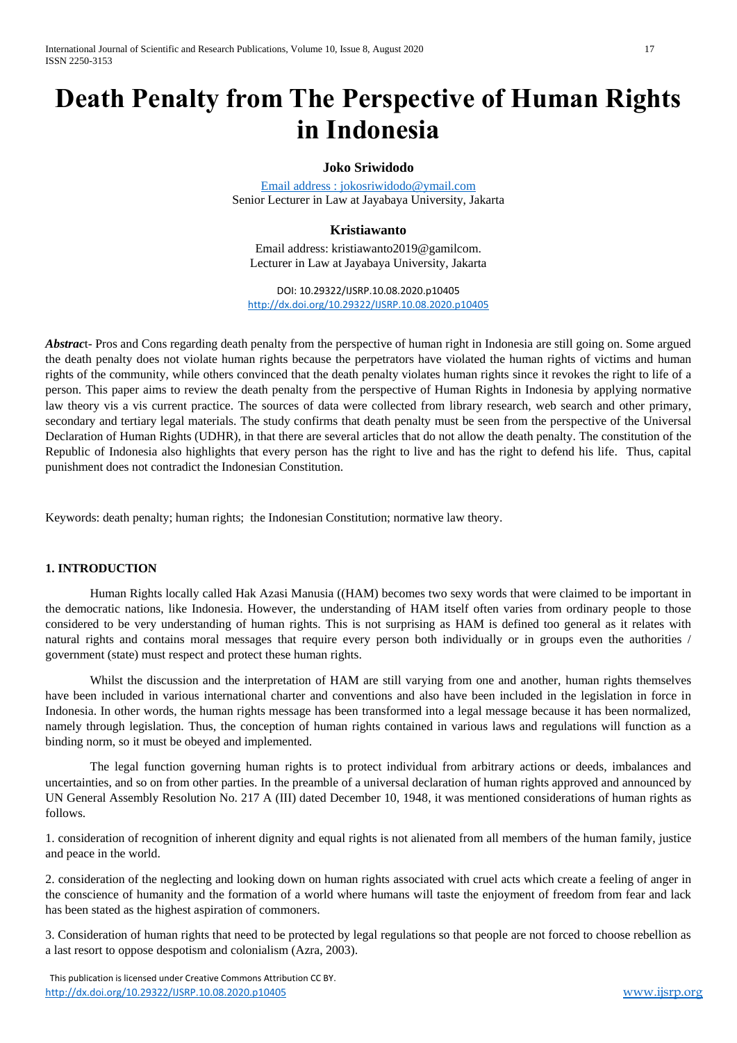# **Death Penalty from The Perspective of Human Rights in Indonesia**

#### **Joko Sriwidodo**

[Email address : jokosriwidodo@ymail.com](mailto:Email%20address%20:%20jokosriwidodo@ymail.com) Senior Lecturer in Law at Jayabaya University, Jakarta

# **Kristiawanto**

Email address: kristiawanto2019@gamilcom. Lecturer in Law at Jayabaya University, Jakarta

DOI: 10.29322/IJSRP.10.08.2020.p10405 <http://dx.doi.org/10.29322/IJSRP.10.08.2020.p10405>

*Abstrac*t- Pros and Cons regarding death penalty from the perspective of human right in Indonesia are still going on. Some argued the death penalty does not violate human rights because the perpetrators have violated the human rights of victims and human rights of the community, while others convinced that the death penalty violates human rights since it revokes the right to life of a person. This paper aims to review the death penalty from the perspective of Human Rights in Indonesia by applying normative law theory vis a vis current practice. The sources of data were collected from library research, web search and other primary, secondary and tertiary legal materials. The study confirms that death penalty must be seen from the perspective of the Universal Declaration of Human Rights (UDHR), in that there are several articles that do not allow the death penalty. The constitution of the Republic of Indonesia also highlights that every person has the right to live and has the right to defend his life. Thus, capital punishment does not contradict the Indonesian Constitution.

Keywords: death penalty; human rights; the Indonesian Constitution; normative law theory.

#### **1. INTRODUCTION**

Human Rights locally called Hak Azasi Manusia ((HAM) becomes two sexy words that were claimed to be important in the democratic nations, like Indonesia. However, the understanding of HAM itself often varies from ordinary people to those considered to be very understanding of human rights. This is not surprising as HAM is defined too general as it relates with natural rights and contains moral messages that require every person both individually or in groups even the authorities / government (state) must respect and protect these human rights.

Whilst the discussion and the interpretation of HAM are still varying from one and another, human rights themselves have been included in various international charter and conventions and also have been included in the legislation in force in Indonesia. In other words, the human rights message has been transformed into a legal message because it has been normalized, namely through legislation. Thus, the conception of human rights contained in various laws and regulations will function as a binding norm, so it must be obeyed and implemented.

The legal function governing human rights is to protect individual from arbitrary actions or deeds, imbalances and uncertainties, and so on from other parties. In the preamble of a universal declaration of human rights approved and announced by UN General Assembly Resolution No. 217 A (III) dated December 10, 1948, it was mentioned considerations of human rights as follows.

1. consideration of recognition of inherent dignity and equal rights is not alienated from all members of the human family, justice and peace in the world.

2. consideration of the neglecting and looking down on human rights associated with cruel acts which create a feeling of anger in the conscience of humanity and the formation of a world where humans will taste the enjoyment of freedom from fear and lack has been stated as the highest aspiration of commoners.

3. Consideration of human rights that need to be protected by legal regulations so that people are not forced to choose rebellion as a last resort to oppose despotism and colonialism (Azra, 2003).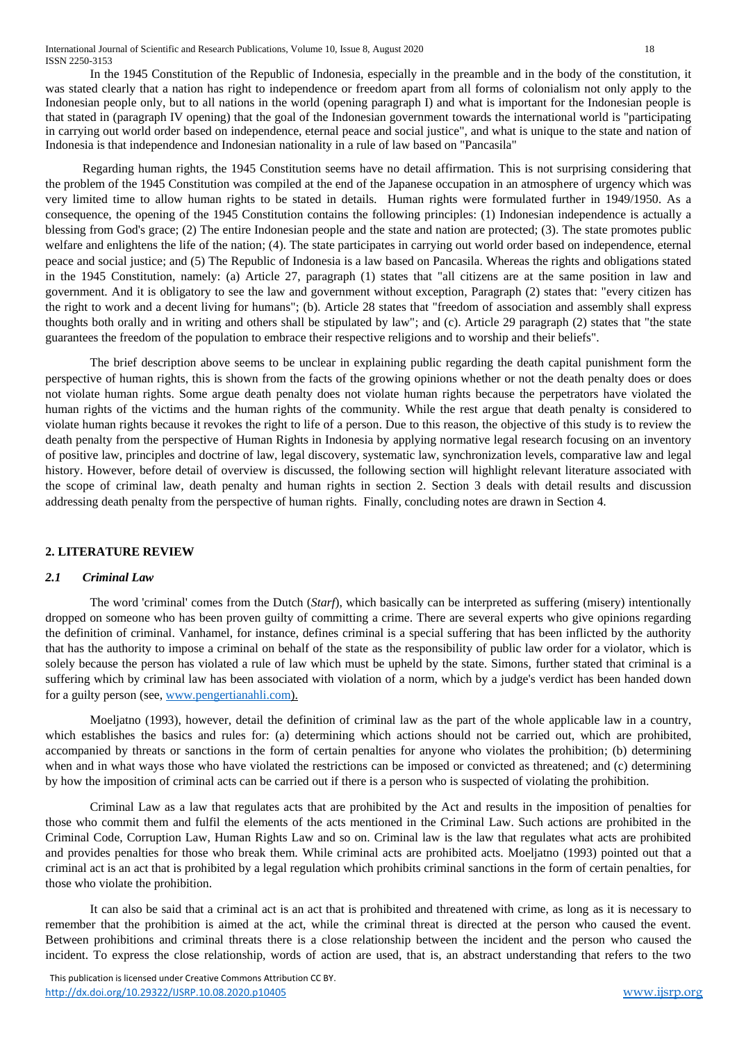In the 1945 Constitution of the Republic of Indonesia, especially in the preamble and in the body of the constitution, it was stated clearly that a nation has right to independence or freedom apart from all forms of colonialism not only apply to the Indonesian people only, but to all nations in the world (opening paragraph I) and what is important for the Indonesian people is that stated in (paragraph IV opening) that the goal of the Indonesian government towards the international world is "participating in carrying out world order based on independence, eternal peace and social justice", and what is unique to the state and nation of Indonesia is that independence and Indonesian nationality in a rule of law based on "Pancasila"

 Regarding human rights, the 1945 Constitution seems have no detail affirmation. This is not surprising considering that the problem of the 1945 Constitution was compiled at the end of the Japanese occupation in an atmosphere of urgency which was very limited time to allow human rights to be stated in details. Human rights were formulated further in 1949/1950. As a consequence, the opening of the 1945 Constitution contains the following principles: (1) Indonesian independence is actually a blessing from God's grace; (2) The entire Indonesian people and the state and nation are protected; (3). The state promotes public welfare and enlightens the life of the nation; (4). The state participates in carrying out world order based on independence, eternal peace and social justice; and (5) The Republic of Indonesia is a law based on Pancasila. Whereas the rights and obligations stated in the 1945 Constitution, namely: (a) Article 27, paragraph (1) states that "all citizens are at the same position in law and government. And it is obligatory to see the law and government without exception, Paragraph (2) states that: "every citizen has the right to work and a decent living for humans"; (b). Article 28 states that "freedom of association and assembly shall express thoughts both orally and in writing and others shall be stipulated by law"; and (c). Article 29 paragraph (2) states that "the state guarantees the freedom of the population to embrace their respective religions and to worship and their beliefs".

The brief description above seems to be unclear in explaining public regarding the death capital punishment form the perspective of human rights, this is shown from the facts of the growing opinions whether or not the death penalty does or does not violate human rights. Some argue death penalty does not violate human rights because the perpetrators have violated the human rights of the victims and the human rights of the community. While the rest argue that death penalty is considered to violate human rights because it revokes the right to life of a person. Due to this reason, the objective of this study is to review the death penalty from the perspective of Human Rights in Indonesia by applying normative legal research focusing on an inventory of positive law, principles and doctrine of law, legal discovery, systematic law, synchronization levels, comparative law and legal history. However, before detail of overview is discussed, the following section will highlight relevant literature associated with the scope of criminal law, death penalty and human rights in section 2. Section 3 deals with detail results and discussion addressing death penalty from the perspective of human rights. Finally, concluding notes are drawn in Section 4.

#### **2. LITERATURE REVIEW**

#### *2.1 Criminal Law*

The word 'criminal' comes from the Dutch (*Starf*), which basically can be interpreted as suffering (misery) intentionally dropped on someone who has been proven guilty of committing a crime. There are several experts who give opinions regarding the definition of criminal. Vanhamel, for instance, defines criminal is a special suffering that has been inflicted by the authority that has the authority to impose a criminal on behalf of the state as the responsibility of public law order for a violator, which is solely because the person has violated a rule of law which must be upheld by the state. Simons, further stated that criminal is a suffering which by criminal law has been associated with violation of a norm, which by a judge's verdict has been handed down for a guilty person (see, [www.pengertianahli.com\)](http://www.pengertianahli.com/).

Moeljatno (1993), however, detail the definition of criminal law as the part of the whole applicable law in a country, which establishes the basics and rules for: (a) determining which actions should not be carried out, which are prohibited, accompanied by threats or sanctions in the form of certain penalties for anyone who violates the prohibition; (b) determining when and in what ways those who have violated the restrictions can be imposed or convicted as threatened; and (c) determining by how the imposition of criminal acts can be carried out if there is a person who is suspected of violating the prohibition.

Criminal Law as a law that regulates acts that are prohibited by the Act and results in the imposition of penalties for those who commit them and fulfil the elements of the acts mentioned in the Criminal Law. Such actions are prohibited in the Criminal Code, Corruption Law, Human Rights Law and so on. Criminal law is the law that regulates what acts are prohibited and provides penalties for those who break them. While criminal acts are prohibited acts. Moeljatno (1993) pointed out that a criminal act is an act that is prohibited by a legal regulation which prohibits criminal sanctions in the form of certain penalties, for those who violate the prohibition.

It can also be said that a criminal act is an act that is prohibited and threatened with crime, as long as it is necessary to remember that the prohibition is aimed at the act, while the criminal threat is directed at the person who caused the event. Between prohibitions and criminal threats there is a close relationship between the incident and the person who caused the incident. To express the close relationship, words of action are used, that is, an abstract understanding that refers to the two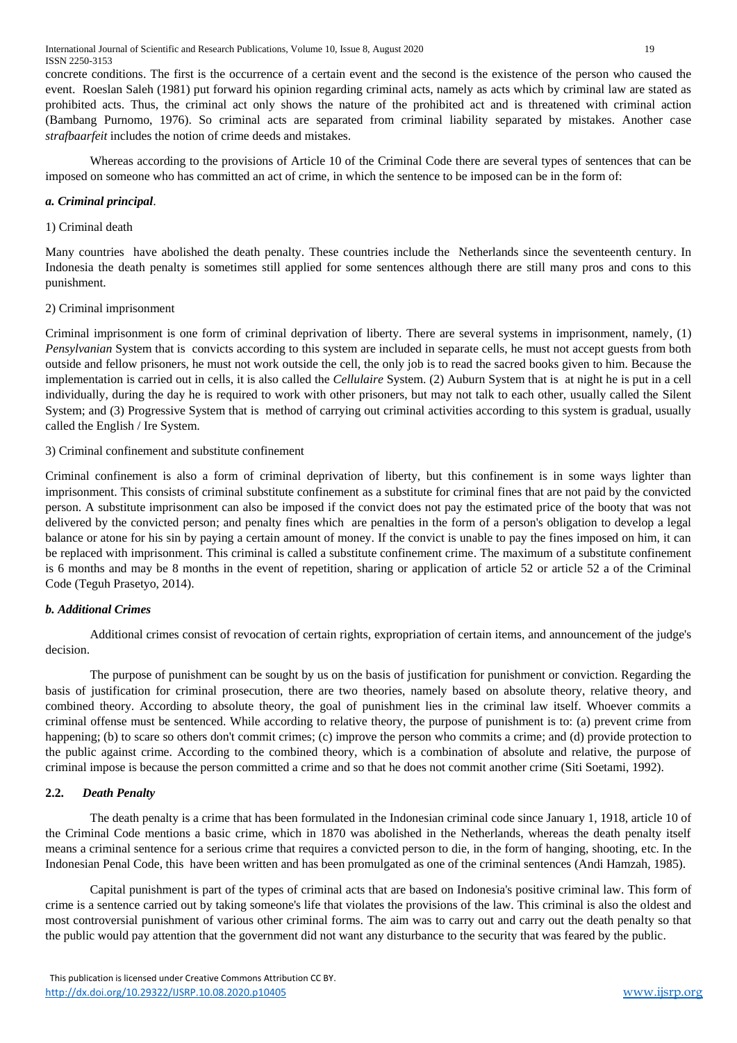concrete conditions. The first is the occurrence of a certain event and the second is the existence of the person who caused the event. Roeslan Saleh (1981) put forward his opinion regarding criminal acts, namely as acts which by criminal law are stated as prohibited acts. Thus, the criminal act only shows the nature of the prohibited act and is threatened with criminal action (Bambang Purnomo, 1976). So criminal acts are separated from criminal liability separated by mistakes. Another case *strafbaarfeit* includes the notion of crime deeds and mistakes.

Whereas according to the provisions of Article 10 of the Criminal Code there are several types of sentences that can be imposed on someone who has committed an act of crime, in which the sentence to be imposed can be in the form of:

# *a. Criminal principal*.

#### 1) Criminal death

Many countries have abolished the death penalty. These countries include the Netherlands since the seventeenth century. In Indonesia the death penalty is sometimes still applied for some sentences although there are still many pros and cons to this punishment.

# 2) Criminal imprisonment

Criminal imprisonment is one form of criminal deprivation of liberty. There are several systems in imprisonment, namely, (1) *Pensylvanian* System that is convicts according to this system are included in separate cells, he must not accept guests from both outside and fellow prisoners, he must not work outside the cell, the only job is to read the sacred books given to him. Because the implementation is carried out in cells, it is also called the *Cellulaire* System. (2) Auburn System that is at night he is put in a cell individually, during the day he is required to work with other prisoners, but may not talk to each other, usually called the Silent System; and (3) Progressive System that is method of carrying out criminal activities according to this system is gradual, usually called the English / Ire System.

# 3) Criminal confinement and substitute confinement

Criminal confinement is also a form of criminal deprivation of liberty, but this confinement is in some ways lighter than imprisonment. This consists of criminal substitute confinement as a substitute for criminal fines that are not paid by the convicted person. A substitute imprisonment can also be imposed if the convict does not pay the estimated price of the booty that was not delivered by the convicted person; and penalty fines which are penalties in the form of a person's obligation to develop a legal balance or atone for his sin by paying a certain amount of money. If the convict is unable to pay the fines imposed on him, it can be replaced with imprisonment. This criminal is called a substitute confinement crime. The maximum of a substitute confinement is 6 months and may be 8 months in the event of repetition, sharing or application of article 52 or article 52 a of the Criminal Code (Teguh Prasetyo, 2014).

# *b. Additional Crimes*

Additional crimes consist of revocation of certain rights, expropriation of certain items, and announcement of the judge's decision.

The purpose of punishment can be sought by us on the basis of justification for punishment or conviction. Regarding the basis of justification for criminal prosecution, there are two theories, namely based on absolute theory, relative theory, and combined theory. According to absolute theory, the goal of punishment lies in the criminal law itself. Whoever commits a criminal offense must be sentenced. While according to relative theory, the purpose of punishment is to: (a) prevent crime from happening; (b) to scare so others don't commit crimes; (c) improve the person who commits a crime; and (d) provide protection to the public against crime. According to the combined theory, which is a combination of absolute and relative, the purpose of criminal impose is because the person committed a crime and so that he does not commit another crime (Siti Soetami, 1992).

# **2.2.** *Death Penalty*

The death penalty is a crime that has been formulated in the Indonesian criminal code since January 1, 1918, article 10 of the Criminal Code mentions a basic crime, which in 1870 was abolished in the Netherlands, whereas the death penalty itself means a criminal sentence for a serious crime that requires a convicted person to die, in the form of hanging, shooting, etc. In the Indonesian Penal Code, this have been written and has been promulgated as one of the criminal sentences (Andi Hamzah, 1985).

Capital punishment is part of the types of criminal acts that are based on Indonesia's positive criminal law. This form of crime is a sentence carried out by taking someone's life that violates the provisions of the law. This criminal is also the oldest and most controversial punishment of various other criminal forms. The aim was to carry out and carry out the death penalty so that the public would pay attention that the government did not want any disturbance to the security that was feared by the public.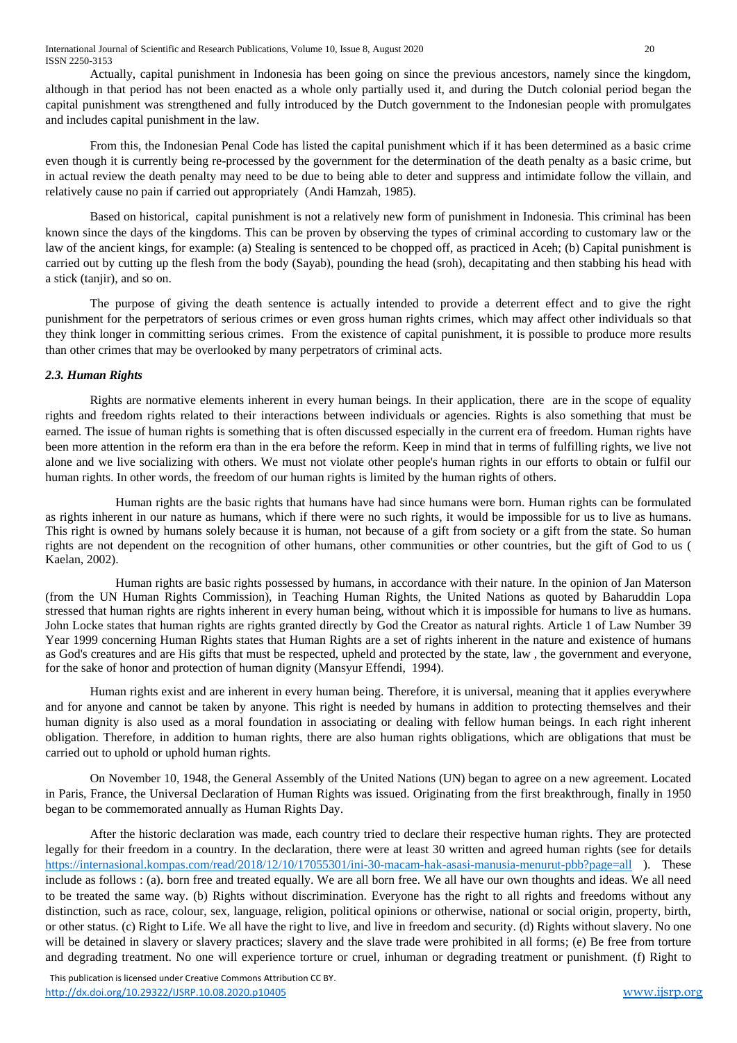Actually, capital punishment in Indonesia has been going on since the previous ancestors, namely since the kingdom, although in that period has not been enacted as a whole only partially used it, and during the Dutch colonial period began the capital punishment was strengthened and fully introduced by the Dutch government to the Indonesian people with promulgates and includes capital punishment in the law.

From this, the Indonesian Penal Code has listed the capital punishment which if it has been determined as a basic crime even though it is currently being re-processed by the government for the determination of the death penalty as a basic crime, but in actual review the death penalty may need to be due to being able to deter and suppress and intimidate follow the villain, and relatively cause no pain if carried out appropriately (Andi Hamzah, 1985).

Based on historical, capital punishment is not a relatively new form of punishment in Indonesia. This criminal has been known since the days of the kingdoms. This can be proven by observing the types of criminal according to customary law or the law of the ancient kings, for example: (a) Stealing is sentenced to be chopped off, as practiced in Aceh; (b) Capital punishment is carried out by cutting up the flesh from the body (Sayab), pounding the head (sroh), decapitating and then stabbing his head with a stick (tanjir), and so on.

The purpose of giving the death sentence is actually intended to provide a deterrent effect and to give the right punishment for the perpetrators of serious crimes or even gross human rights crimes, which may affect other individuals so that they think longer in committing serious crimes. From the existence of capital punishment, it is possible to produce more results than other crimes that may be overlooked by many perpetrators of criminal acts.

# *2.3. Human Rights*

Rights are normative elements inherent in every human beings. In their application, there are in the scope of equality rights and freedom rights related to their interactions between individuals or agencies. Rights is also something that must be earned. The issue of human rights is something that is often discussed especially in the current era of freedom. Human rights have been more attention in the reform era than in the era before the reform. Keep in mind that in terms of fulfilling rights, we live not alone and we live socializing with others. We must not violate other people's human rights in our efforts to obtain or fulfil our human rights. In other words, the freedom of our human rights is limited by the human rights of others.

Human rights are the basic rights that humans have had since humans were born. Human rights can be formulated as rights inherent in our nature as humans, which if there were no such rights, it would be impossible for us to live as humans. This right is owned by humans solely because it is human, not because of a gift from society or a gift from the state. So human rights are not dependent on the recognition of other humans, other communities or other countries, but the gift of God to us ( Kaelan, 2002).

Human rights are basic rights possessed by humans, in accordance with their nature. In the opinion of Jan Materson (from the UN Human Rights Commission), in Teaching Human Rights, the United Nations as quoted by Baharuddin Lopa stressed that human rights are rights inherent in every human being, without which it is impossible for humans to live as humans. John Locke states that human rights are rights granted directly by God the Creator as natural rights. Article 1 of Law Number 39 Year 1999 concerning Human Rights states that Human Rights are a set of rights inherent in the nature and existence of humans as God's creatures and are His gifts that must be respected, upheld and protected by the state, law , the government and everyone, for the sake of honor and protection of human dignity (Mansyur Effendi, 1994).

Human rights exist and are inherent in every human being. Therefore, it is universal, meaning that it applies everywhere and for anyone and cannot be taken by anyone. This right is needed by humans in addition to protecting themselves and their human dignity is also used as a moral foundation in associating or dealing with fellow human beings. In each right inherent obligation. Therefore, in addition to human rights, there are also human rights obligations, which are obligations that must be carried out to uphold or uphold human rights.

On November 10, 1948, the General Assembly of the United Nations (UN) began to agree on a new agreement. Located in Paris, France, the Universal Declaration of Human Rights was issued. Originating from the first breakthrough, finally in 1950 began to be commemorated annually as Human Rights Day.

After the historic declaration was made, each country tried to declare their respective human rights. They are protected legally for their freedom in a country. In the declaration, there were at least 30 written and agreed human rights (see for details <https://internasional.kompas.com/read/2018/12/10/17055301/ini-30-macam-hak-asasi-manusia-menurut-pbb?page=all> ). These include as follows : (a). born free and treated equally. We are all born free. We all have our own thoughts and ideas. We all need to be treated the same way. (b) Rights without discrimination. Everyone has the right to all rights and freedoms without any distinction, such as race, colour, sex, language, religion, political opinions or otherwise, national or social origin, property, birth, or other status. (c) Right to Life. We all have the right to live, and live in freedom and security. (d) Rights without slavery. No one will be detained in slavery or slavery practices; slavery and the slave trade were prohibited in all forms; (e) Be free from torture and degrading treatment. No one will experience torture or cruel, inhuman or degrading treatment or punishment. (f) Right to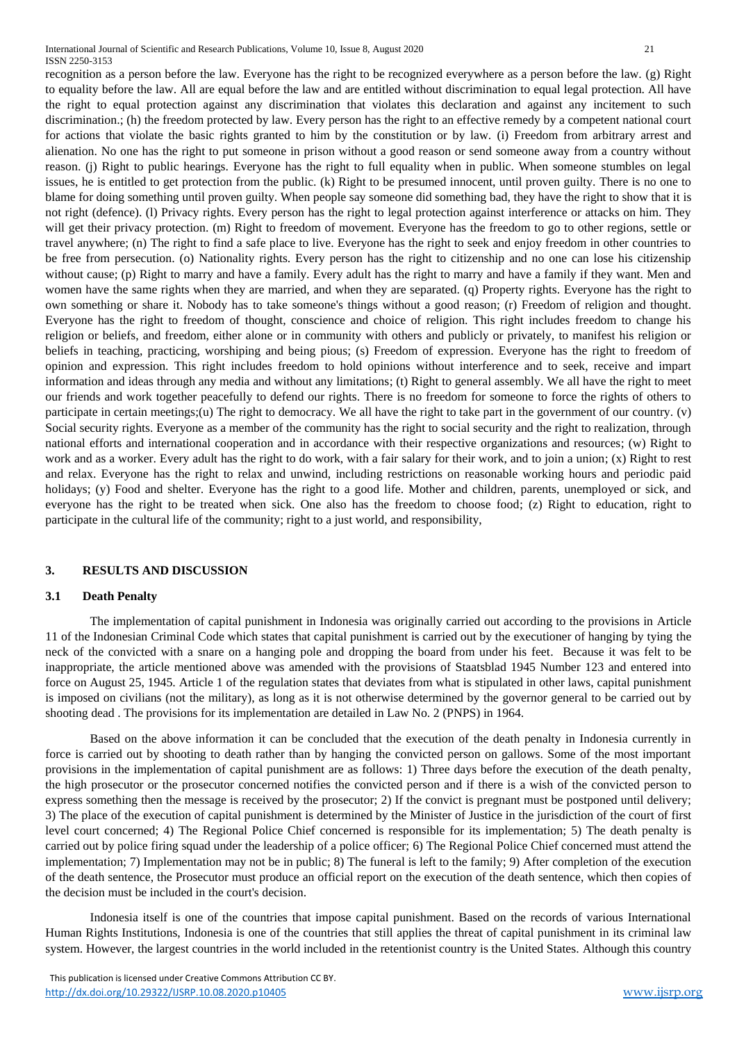recognition as a person before the law. Everyone has the right to be recognized everywhere as a person before the law. (g) Right to equality before the law. All are equal before the law and are entitled without discrimination to equal legal protection. All have the right to equal protection against any discrimination that violates this declaration and against any incitement to such discrimination.; (h) the freedom protected by law. Every person has the right to an effective remedy by a competent national court for actions that violate the basic rights granted to him by the constitution or by law. (i) Freedom from arbitrary arrest and alienation. No one has the right to put someone in prison without a good reason or send someone away from a country without reason. (j) Right to public hearings. Everyone has the right to full equality when in public. When someone stumbles on legal issues, he is entitled to get protection from the public. (k) Right to be presumed innocent, until proven guilty. There is no one to blame for doing something until proven guilty. When people say someone did something bad, they have the right to show that it is not right (defence). (l) Privacy rights. Every person has the right to legal protection against interference or attacks on him. They will get their privacy protection. (m) Right to freedom of movement. Everyone has the freedom to go to other regions, settle or travel anywhere; (n) The right to find a safe place to live. Everyone has the right to seek and enjoy freedom in other countries to be free from persecution. (o) Nationality rights. Every person has the right to citizenship and no one can lose his citizenship without cause; (p) Right to marry and have a family. Every adult has the right to marry and have a family if they want. Men and women have the same rights when they are married, and when they are separated. (q) Property rights. Everyone has the right to own something or share it. Nobody has to take someone's things without a good reason; (r) Freedom of religion and thought. Everyone has the right to freedom of thought, conscience and choice of religion. This right includes freedom to change his religion or beliefs, and freedom, either alone or in community with others and publicly or privately, to manifest his religion or beliefs in teaching, practicing, worshiping and being pious; (s) Freedom of expression. Everyone has the right to freedom of opinion and expression. This right includes freedom to hold opinions without interference and to seek, receive and impart information and ideas through any media and without any limitations; (t) Right to general assembly. We all have the right to meet our friends and work together peacefully to defend our rights. There is no freedom for someone to force the rights of others to participate in certain meetings;(u) The right to democracy. We all have the right to take part in the government of our country. (v) Social security rights. Everyone as a member of the community has the right to social security and the right to realization, through national efforts and international cooperation and in accordance with their respective organizations and resources; (w) Right to work and as a worker. Every adult has the right to do work, with a fair salary for their work, and to join a union; (x) Right to rest and relax. Everyone has the right to relax and unwind, including restrictions on reasonable working hours and periodic paid holidays; (y) Food and shelter. Everyone has the right to a good life. Mother and children, parents, unemployed or sick, and everyone has the right to be treated when sick. One also has the freedom to choose food; (z) Right to education, right to participate in the cultural life of the community; right to a just world, and responsibility,

# **3. RESULTS AND DISCUSSION**

#### **3.1 Death Penalty**

The implementation of capital punishment in Indonesia was originally carried out according to the provisions in Article 11 of the Indonesian Criminal Code which states that capital punishment is carried out by the executioner of hanging by tying the neck of the convicted with a snare on a hanging pole and dropping the board from under his feet. Because it was felt to be inappropriate, the article mentioned above was amended with the provisions of Staatsblad 1945 Number 123 and entered into force on August 25, 1945. Article 1 of the regulation states that deviates from what is stipulated in other laws, capital punishment is imposed on civilians (not the military), as long as it is not otherwise determined by the governor general to be carried out by shooting dead . The provisions for its implementation are detailed in Law No. 2 (PNPS) in 1964.

Based on the above information it can be concluded that the execution of the death penalty in Indonesia currently in force is carried out by shooting to death rather than by hanging the convicted person on gallows. Some of the most important provisions in the implementation of capital punishment are as follows: 1) Three days before the execution of the death penalty, the high prosecutor or the prosecutor concerned notifies the convicted person and if there is a wish of the convicted person to express something then the message is received by the prosecutor; 2) If the convict is pregnant must be postponed until delivery; 3) The place of the execution of capital punishment is determined by the Minister of Justice in the jurisdiction of the court of first level court concerned; 4) The Regional Police Chief concerned is responsible for its implementation; 5) The death penalty is carried out by police firing squad under the leadership of a police officer; 6) The Regional Police Chief concerned must attend the implementation; 7) Implementation may not be in public; 8) The funeral is left to the family; 9) After completion of the execution of the death sentence, the Prosecutor must produce an official report on the execution of the death sentence, which then copies of the decision must be included in the court's decision.

Indonesia itself is one of the countries that impose capital punishment. Based on the records of various International Human Rights Institutions, Indonesia is one of the countries that still applies the threat of capital punishment in its criminal law system. However, the largest countries in the world included in the retentionist country is the United States. Although this country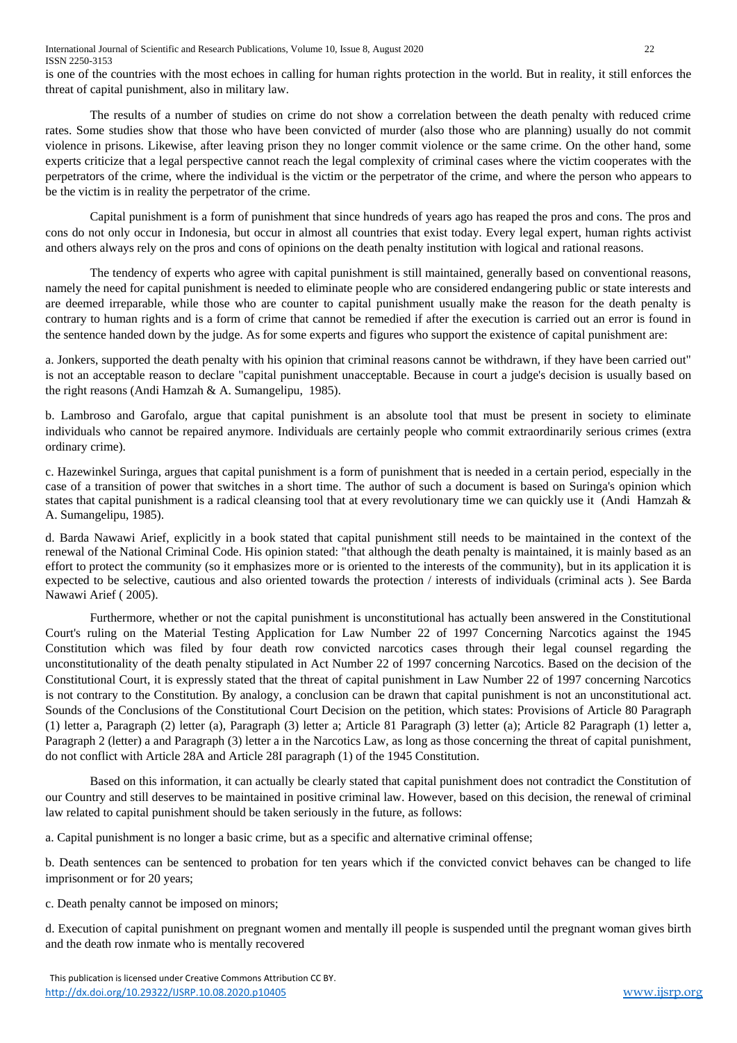is one of the countries with the most echoes in calling for human rights protection in the world. But in reality, it still enforces the threat of capital punishment, also in military law.

The results of a number of studies on crime do not show a correlation between the death penalty with reduced crime rates. Some studies show that those who have been convicted of murder (also those who are planning) usually do not commit violence in prisons. Likewise, after leaving prison they no longer commit violence or the same crime. On the other hand, some experts criticize that a legal perspective cannot reach the legal complexity of criminal cases where the victim cooperates with the perpetrators of the crime, where the individual is the victim or the perpetrator of the crime, and where the person who appears to be the victim is in reality the perpetrator of the crime.

Capital punishment is a form of punishment that since hundreds of years ago has reaped the pros and cons. The pros and cons do not only occur in Indonesia, but occur in almost all countries that exist today. Every legal expert, human rights activist and others always rely on the pros and cons of opinions on the death penalty institution with logical and rational reasons.

The tendency of experts who agree with capital punishment is still maintained, generally based on conventional reasons, namely the need for capital punishment is needed to eliminate people who are considered endangering public or state interests and are deemed irreparable, while those who are counter to capital punishment usually make the reason for the death penalty is contrary to human rights and is a form of crime that cannot be remedied if after the execution is carried out an error is found in the sentence handed down by the judge. As for some experts and figures who support the existence of capital punishment are:

a. Jonkers, supported the death penalty with his opinion that criminal reasons cannot be withdrawn, if they have been carried out" is not an acceptable reason to declare "capital punishment unacceptable. Because in court a judge's decision is usually based on the right reasons (Andi Hamzah & A. Sumangelipu, 1985).

b. Lambroso and Garofalo, argue that capital punishment is an absolute tool that must be present in society to eliminate individuals who cannot be repaired anymore. Individuals are certainly people who commit extraordinarily serious crimes (extra ordinary crime).

c. Hazewinkel Suringa, argues that capital punishment is a form of punishment that is needed in a certain period, especially in the case of a transition of power that switches in a short time. The author of such a document is based on Suringa's opinion which states that capital punishment is a radical cleansing tool that at every revolutionary time we can quickly use it (Andi Hamzah & A. Sumangelipu, 1985).

d. Barda Nawawi Arief, explicitly in a book stated that capital punishment still needs to be maintained in the context of the renewal of the National Criminal Code. His opinion stated: "that although the death penalty is maintained, it is mainly based as an effort to protect the community (so it emphasizes more or is oriented to the interests of the community), but in its application it is expected to be selective, cautious and also oriented towards the protection / interests of individuals (criminal acts ). See Barda Nawawi Arief ( 2005).

Furthermore, whether or not the capital punishment is unconstitutional has actually been answered in the Constitutional Court's ruling on the Material Testing Application for Law Number 22 of 1997 Concerning Narcotics against the 1945 Constitution which was filed by four death row convicted narcotics cases through their legal counsel regarding the unconstitutionality of the death penalty stipulated in Act Number 22 of 1997 concerning Narcotics. Based on the decision of the Constitutional Court, it is expressly stated that the threat of capital punishment in Law Number 22 of 1997 concerning Narcotics is not contrary to the Constitution. By analogy, a conclusion can be drawn that capital punishment is not an unconstitutional act. Sounds of the Conclusions of the Constitutional Court Decision on the petition, which states: Provisions of Article 80 Paragraph (1) letter a, Paragraph (2) letter (a), Paragraph (3) letter a; Article 81 Paragraph (3) letter (a); Article 82 Paragraph (1) letter a, Paragraph 2 (letter) a and Paragraph (3) letter a in the Narcotics Law, as long as those concerning the threat of capital punishment, do not conflict with Article 28A and Article 28I paragraph (1) of the 1945 Constitution.

Based on this information, it can actually be clearly stated that capital punishment does not contradict the Constitution of our Country and still deserves to be maintained in positive criminal law. However, based on this decision, the renewal of criminal law related to capital punishment should be taken seriously in the future, as follows:

a. Capital punishment is no longer a basic crime, but as a specific and alternative criminal offense;

b. Death sentences can be sentenced to probation for ten years which if the convicted convict behaves can be changed to life imprisonment or for 20 years;

c. Death penalty cannot be imposed on minors;

d. Execution of capital punishment on pregnant women and mentally ill people is suspended until the pregnant woman gives birth and the death row inmate who is mentally recovered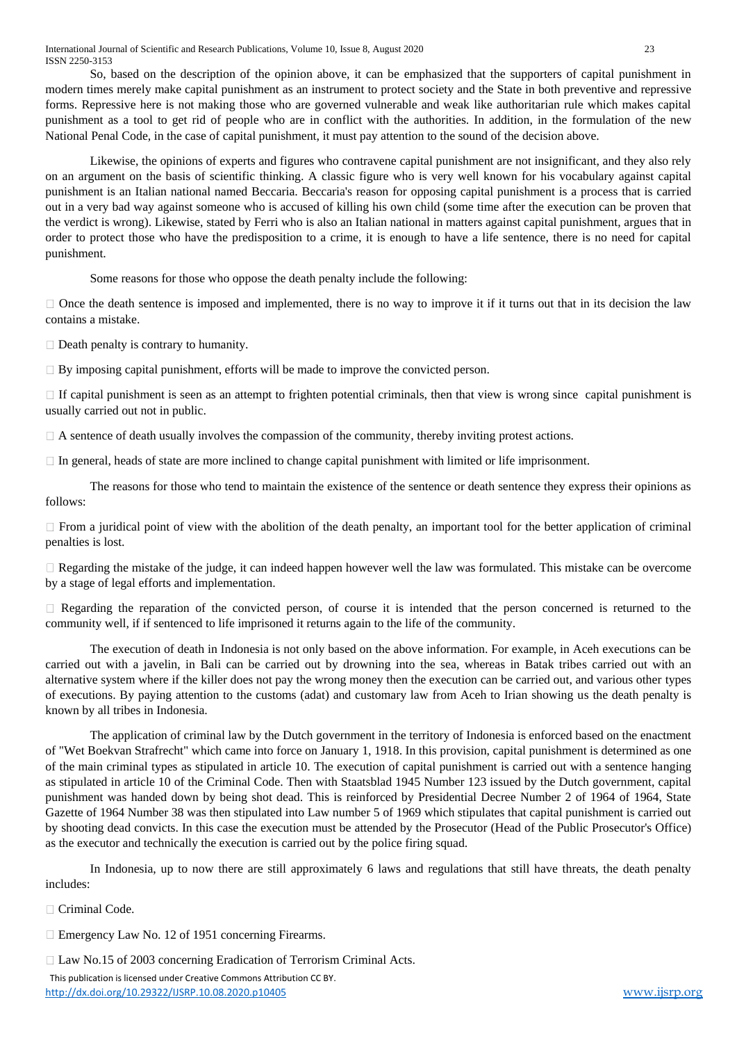International Journal of Scientific and Research Publications, Volume 10, Issue 8, August 2020 23 ISSN 2250-3153

So, based on the description of the opinion above, it can be emphasized that the supporters of capital punishment in modern times merely make capital punishment as an instrument to protect society and the State in both preventive and repressive forms. Repressive here is not making those who are governed vulnerable and weak like authoritarian rule which makes capital punishment as a tool to get rid of people who are in conflict with the authorities. In addition, in the formulation of the new National Penal Code, in the case of capital punishment, it must pay attention to the sound of the decision above.

Likewise, the opinions of experts and figures who contravene capital punishment are not insignificant, and they also rely on an argument on the basis of scientific thinking. A classic figure who is very well known for his vocabulary against capital punishment is an Italian national named Beccaria. Beccaria's reason for opposing capital punishment is a process that is carried out in a very bad way against someone who is accused of killing his own child (some time after the execution can be proven that the verdict is wrong). Likewise, stated by Ferri who is also an Italian national in matters against capital punishment, argues that in order to protect those who have the predisposition to a crime, it is enough to have a life sentence, there is no need for capital punishment.

Some reasons for those who oppose the death penalty include the following:

 $\Box$  Once the death sentence is imposed and implemented, there is no way to improve it if it turns out that in its decision the law contains a mistake.

 $\Box$  Death penalty is contrary to humanity.

 $\Box$  By imposing capital punishment, efforts will be made to improve the convicted person.

 $\Box$  If capital punishment is seen as an attempt to frighten potential criminals, then that view is wrong since capital punishment is usually carried out not in public.

 $\Box$  A sentence of death usually involves the compassion of the community, thereby inviting protest actions.

 $\Box$  In general, heads of state are more inclined to change capital punishment with limited or life imprisonment.

The reasons for those who tend to maintain the existence of the sentence or death sentence they express their opinions as follows:

 $\Box$  From a juridical point of view with the abolition of the death penalty, an important tool for the better application of criminal penalties is lost.

 $\Box$  Regarding the mistake of the judge, it can indeed happen however well the law was formulated. This mistake can be overcome by a stage of legal efforts and implementation.

 $\Box$  Regarding the reparation of the convicted person, of course it is intended that the person concerned is returned to the community well, if if sentenced to life imprisoned it returns again to the life of the community.

The execution of death in Indonesia is not only based on the above information. For example, in Aceh executions can be carried out with a javelin, in Bali can be carried out by drowning into the sea, whereas in Batak tribes carried out with an alternative system where if the killer does not pay the wrong money then the execution can be carried out, and various other types of executions. By paying attention to the customs (adat) and customary law from Aceh to Irian showing us the death penalty is known by all tribes in Indonesia.

The application of criminal law by the Dutch government in the territory of Indonesia is enforced based on the enactment of "Wet Boekvan Strafrecht" which came into force on January 1, 1918. In this provision, capital punishment is determined as one of the main criminal types as stipulated in article 10. The execution of capital punishment is carried out with a sentence hanging as stipulated in article 10 of the Criminal Code. Then with Staatsblad 1945 Number 123 issued by the Dutch government, capital punishment was handed down by being shot dead. This is reinforced by Presidential Decree Number 2 of 1964 of 1964, State Gazette of 1964 Number 38 was then stipulated into Law number 5 of 1969 which stipulates that capital punishment is carried out by shooting dead convicts. In this case the execution must be attended by the Prosecutor (Head of the Public Prosecutor's Office) as the executor and technically the execution is carried out by the police firing squad.

In Indonesia, up to now there are still approximately 6 laws and regulations that still have threats, the death penalty includes:

Criminal Code.

□ Emergency Law No. 12 of 1951 concerning Firearms.

□ Law No.15 of 2003 concerning Eradication of Terrorism Criminal Acts.

 This publication is licensed under Creative Commons Attribution CC BY. <http://dx.doi.org/10.29322/IJSRP.10.08.2020.p10405> [www.ijsrp.org](http://ijsrp.org/)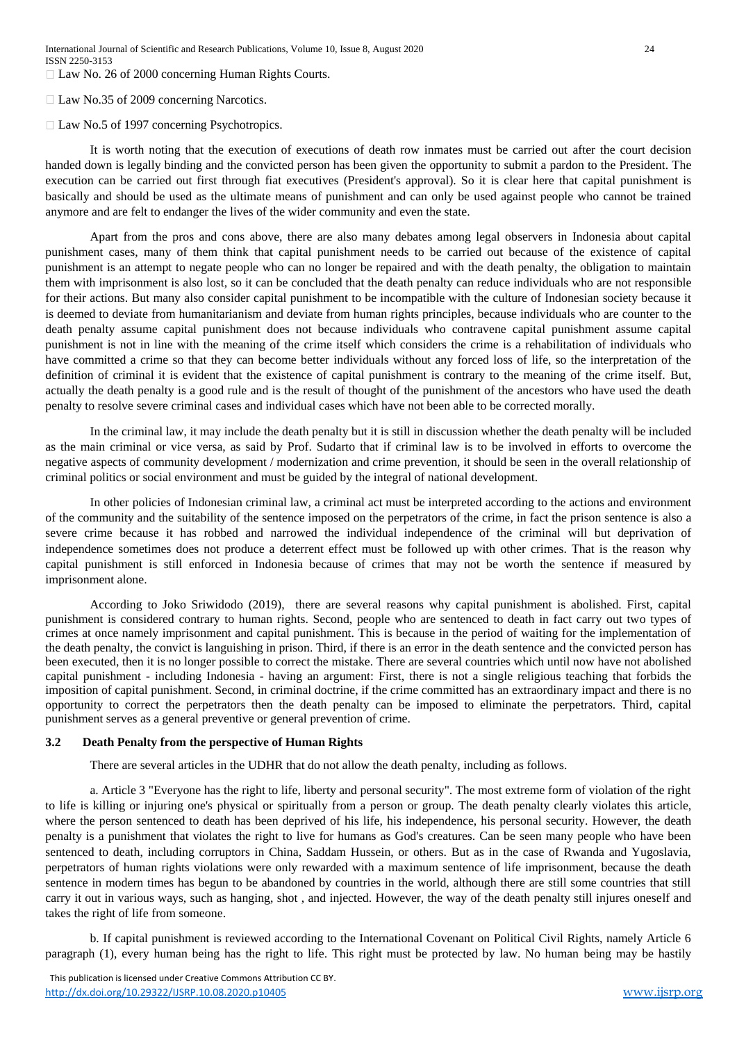□ Law No. 26 of 2000 concerning Human Rights Courts.

□ Law No.35 of 2009 concerning Narcotics.

 $\Box$  Law No.5 of 1997 concerning Psychotropics.

It is worth noting that the execution of executions of death row inmates must be carried out after the court decision handed down is legally binding and the convicted person has been given the opportunity to submit a pardon to the President. The execution can be carried out first through fiat executives (President's approval). So it is clear here that capital punishment is basically and should be used as the ultimate means of punishment and can only be used against people who cannot be trained anymore and are felt to endanger the lives of the wider community and even the state.

Apart from the pros and cons above, there are also many debates among legal observers in Indonesia about capital punishment cases, many of them think that capital punishment needs to be carried out because of the existence of capital punishment is an attempt to negate people who can no longer be repaired and with the death penalty, the obligation to maintain them with imprisonment is also lost, so it can be concluded that the death penalty can reduce individuals who are not responsible for their actions. But many also consider capital punishment to be incompatible with the culture of Indonesian society because it is deemed to deviate from humanitarianism and deviate from human rights principles, because individuals who are counter to the death penalty assume capital punishment does not because individuals who contravene capital punishment assume capital punishment is not in line with the meaning of the crime itself which considers the crime is a rehabilitation of individuals who have committed a crime so that they can become better individuals without any forced loss of life, so the interpretation of the definition of criminal it is evident that the existence of capital punishment is contrary to the meaning of the crime itself. But, actually the death penalty is a good rule and is the result of thought of the punishment of the ancestors who have used the death penalty to resolve severe criminal cases and individual cases which have not been able to be corrected morally.

In the criminal law, it may include the death penalty but it is still in discussion whether the death penalty will be included as the main criminal or vice versa, as said by Prof. Sudarto that if criminal law is to be involved in efforts to overcome the negative aspects of community development / modernization and crime prevention, it should be seen in the overall relationship of criminal politics or social environment and must be guided by the integral of national development.

In other policies of Indonesian criminal law, a criminal act must be interpreted according to the actions and environment of the community and the suitability of the sentence imposed on the perpetrators of the crime, in fact the prison sentence is also a severe crime because it has robbed and narrowed the individual independence of the criminal will but deprivation of independence sometimes does not produce a deterrent effect must be followed up with other crimes. That is the reason why capital punishment is still enforced in Indonesia because of crimes that may not be worth the sentence if measured by imprisonment alone.

According to Joko Sriwidodo (2019), there are several reasons why capital punishment is abolished. First, capital punishment is considered contrary to human rights. Second, people who are sentenced to death in fact carry out two types of crimes at once namely imprisonment and capital punishment. This is because in the period of waiting for the implementation of the death penalty, the convict is languishing in prison. Third, if there is an error in the death sentence and the convicted person has been executed, then it is no longer possible to correct the mistake. There are several countries which until now have not abolished capital punishment - including Indonesia - having an argument: First, there is not a single religious teaching that forbids the imposition of capital punishment. Second, in criminal doctrine, if the crime committed has an extraordinary impact and there is no opportunity to correct the perpetrators then the death penalty can be imposed to eliminate the perpetrators. Third, capital punishment serves as a general preventive or general prevention of crime.

#### **3.2 Death Penalty from the perspective of Human Rights**

There are several articles in the UDHR that do not allow the death penalty, including as follows.

a. Article 3 "Everyone has the right to life, liberty and personal security". The most extreme form of violation of the right to life is killing or injuring one's physical or spiritually from a person or group. The death penalty clearly violates this article, where the person sentenced to death has been deprived of his life, his independence, his personal security. However, the death penalty is a punishment that violates the right to live for humans as God's creatures. Can be seen many people who have been sentenced to death, including corruptors in China, Saddam Hussein, or others. But as in the case of Rwanda and Yugoslavia, perpetrators of human rights violations were only rewarded with a maximum sentence of life imprisonment, because the death sentence in modern times has begun to be abandoned by countries in the world, although there are still some countries that still carry it out in various ways, such as hanging, shot , and injected. However, the way of the death penalty still injures oneself and takes the right of life from someone.

b. If capital punishment is reviewed according to the International Covenant on Political Civil Rights, namely Article 6 paragraph (1), every human being has the right to life. This right must be protected by law. No human being may be hastily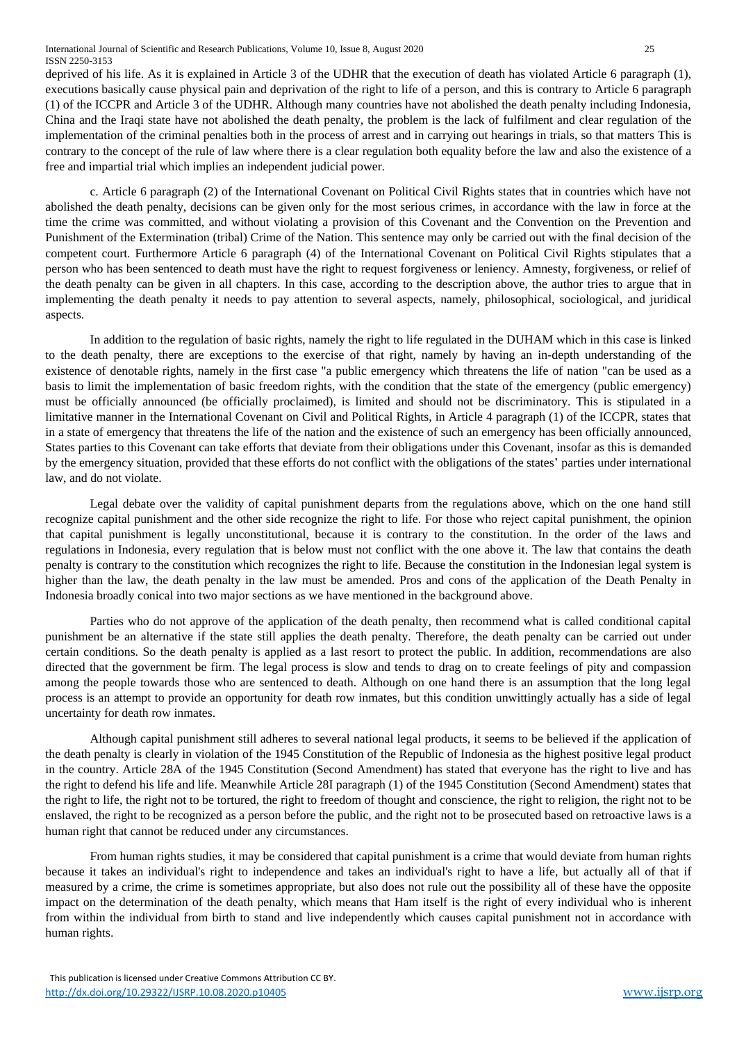deprived of his life. As it is explained in Article 3 of the UDHR that the execution of death has violated Article 6 paragraph (1), executions basically cause physical pain and deprivation of the right to life of a person, and this is contrary to Article 6 paragraph (1) of the ICCPR and Article 3 of the UDHR. Although many countries have not abolished the death penalty including Indonesia, China and the Iraqi state have not abolished the death penalty, the problem is the lack of fulfilment and clear regulation of the implementation of the criminal penalties both in the process of arrest and in carrying out hearings in trials, so that matters This is contrary to the concept of the rule of law where there is a clear regulation both equality before the law and also the existence of a free and impartial trial which implies an independent judicial power.

c. Article 6 paragraph (2) of the International Covenant on Political Civil Rights states that in countries which have not abolished the death penalty, decisions can be given only for the most serious crimes, in accordance with the law in force at the time the crime was committed, and without violating a provision of this Covenant and the Convention on the Prevention and Punishment of the Extermination (tribal) Crime of the Nation. This sentence may only be carried out with the final decision of the competent court. Furthermore Article 6 paragraph (4) of the International Covenant on Political Civil Rights stipulates that a person who has been sentenced to death must have the right to request forgiveness or leniency. Amnesty, forgiveness, or relief of the death penalty can be given in all chapters. In this case, according to the description above, the author tries to argue that in implementing the death penalty it needs to pay attention to several aspects, namely, philosophical, sociological, and juridical aspects.

In addition to the regulation of basic rights, namely the right to life regulated in the DUHAM which in this case is linked to the death penalty, there are exceptions to the exercise of that right, namely by having an in-depth understanding of the existence of denotable rights, namely in the first case "a public emergency which threatens the life of nation "can be used as a basis to limit the implementation of basic freedom rights, with the condition that the state of the emergency (public emergency) must be officially announced (be officially proclaimed), is limited and should not be discriminatory. This is stipulated in a limitative manner in the International Covenant on Civil and Political Rights, in Article 4 paragraph (1) of the ICCPR, states that in a state of emergency that threatens the life of the nation and the existence of such an emergency has been officially announced, States parties to this Covenant can take efforts that deviate from their obligations under this Covenant, insofar as this is demanded by the emergency situation, provided that these efforts do not conflict with the obligations of the states' parties under international law, and do not violate.

Legal debate over the validity of capital punishment departs from the regulations above, which on the one hand still recognize capital punishment and the other side recognize the right to life. For those who reject capital punishment, the opinion that capital punishment is legally unconstitutional, because it is contrary to the constitution. In the order of the laws and regulations in Indonesia, every regulation that is below must not conflict with the one above it. The law that contains the death penalty is contrary to the constitution which recognizes the right to life. Because the constitution in the Indonesian legal system is higher than the law, the death penalty in the law must be amended. Pros and cons of the application of the Death Penalty in Indonesia broadly conical into two major sections as we have mentioned in the background above.

Parties who do not approve of the application of the death penalty, then recommend what is called conditional capital punishment be an alternative if the state still applies the death penalty. Therefore, the death penalty can be carried out under certain conditions. So the death penalty is applied as a last resort to protect the public. In addition, recommendations are also directed that the government be firm. The legal process is slow and tends to drag on to create feelings of pity and compassion among the people towards those who are sentenced to death. Although on one hand there is an assumption that the long legal process is an attempt to provide an opportunity for death row inmates, but this condition unwittingly actually has a side of legal uncertainty for death row inmates.

Although capital punishment still adheres to several national legal products, it seems to be believed if the application of the death penalty is clearly in violation of the 1945 Constitution of the Republic of Indonesia as the highest positive legal product in the country. Article 28A of the 1945 Constitution (Second Amendment) has stated that everyone has the right to live and has the right to defend his life and life. Meanwhile Article 28I paragraph (1) of the 1945 Constitution (Second Amendment) states that the right to life, the right not to be tortured, the right to freedom of thought and conscience, the right to religion, the right not to be enslaved, the right to be recognized as a person before the public, and the right not to be prosecuted based on retroactive laws is a human right that cannot be reduced under any circumstances.

From human rights studies, it may be considered that capital punishment is a crime that would deviate from human rights because it takes an individual's right to independence and takes an individual's right to have a life, but actually all of that if measured by a crime, the crime is sometimes appropriate, but also does not rule out the possibility all of these have the opposite impact on the determination of the death penalty, which means that Ham itself is the right of every individual who is inherent from within the individual from birth to stand and live independently which causes capital punishment not in accordance with human rights.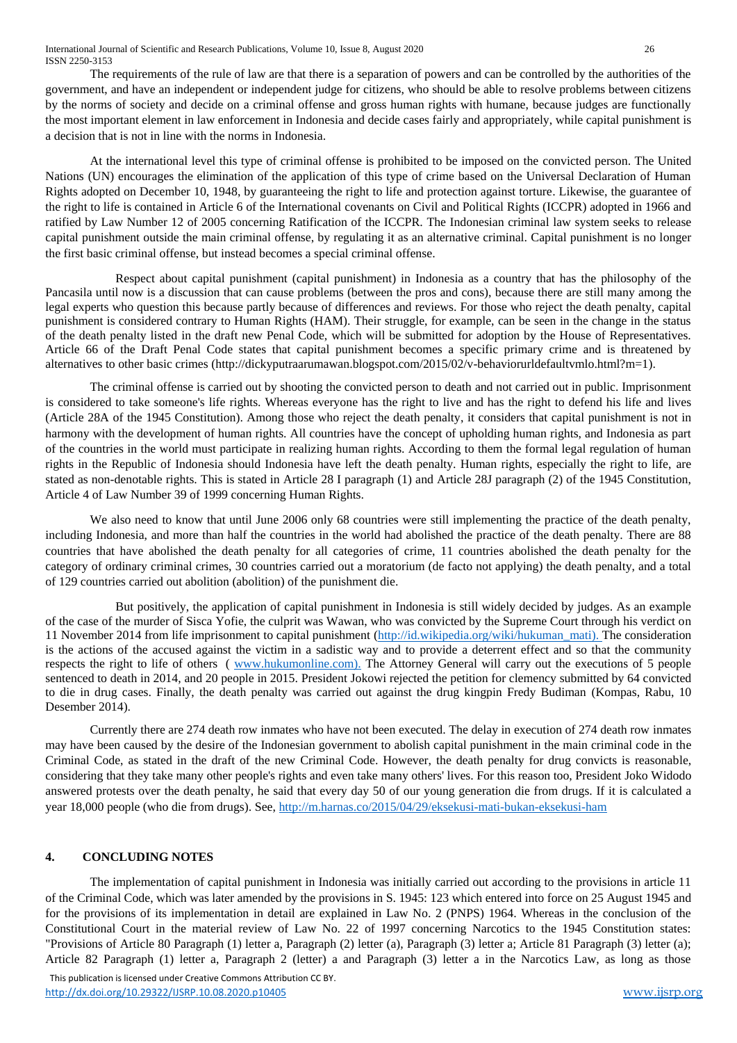The requirements of the rule of law are that there is a separation of powers and can be controlled by the authorities of the government, and have an independent or independent judge for citizens, who should be able to resolve problems between citizens by the norms of society and decide on a criminal offense and gross human rights with humane, because judges are functionally the most important element in law enforcement in Indonesia and decide cases fairly and appropriately, while capital punishment is a decision that is not in line with the norms in Indonesia.

At the international level this type of criminal offense is prohibited to be imposed on the convicted person. The United Nations (UN) encourages the elimination of the application of this type of crime based on the Universal Declaration of Human Rights adopted on December 10, 1948, by guaranteeing the right to life and protection against torture. Likewise, the guarantee of the right to life is contained in Article 6 of the International covenants on Civil and Political Rights (ICCPR) adopted in 1966 and ratified by Law Number 12 of 2005 concerning Ratification of the ICCPR. The Indonesian criminal law system seeks to release capital punishment outside the main criminal offense, by regulating it as an alternative criminal. Capital punishment is no longer the first basic criminal offense, but instead becomes a special criminal offense.

Respect about capital punishment (capital punishment) in Indonesia as a country that has the philosophy of the Pancasila until now is a discussion that can cause problems (between the pros and cons), because there are still many among the legal experts who question this because partly because of differences and reviews. For those who reject the death penalty, capital punishment is considered contrary to Human Rights (HAM). Their struggle, for example, can be seen in the change in the status of the death penalty listed in the draft new Penal Code, which will be submitted for adoption by the House of Representatives. Article 66 of the Draft Penal Code states that capital punishment becomes a specific primary crime and is threatened by alternatives to other basic crimes [\(http://dickyputraarumawan.blogspot.com/2015/02/v-behaviorurldefaultvmlo.html?m=1\)](http://dickyputraarumawan.blogspot.com/2015/02/v-behaviorurldefaultvmlo.html?m=1).

The criminal offense is carried out by shooting the convicted person to death and not carried out in public. Imprisonment is considered to take someone's life rights. Whereas everyone has the right to live and has the right to defend his life and lives (Article 28A of the 1945 Constitution). Among those who reject the death penalty, it considers that capital punishment is not in harmony with the development of human rights. All countries have the concept of upholding human rights, and Indonesia as part of the countries in the world must participate in realizing human rights. According to them the formal legal regulation of human rights in the Republic of Indonesia should Indonesia have left the death penalty. Human rights, especially the right to life, are stated as non-denotable rights. This is stated in Article 28 I paragraph (1) and Article 28J paragraph (2) of the 1945 Constitution, Article 4 of Law Number 39 of 1999 concerning Human Rights.

We also need to know that until June 2006 only 68 countries were still implementing the practice of the death penalty, including Indonesia, and more than half the countries in the world had abolished the practice of the death penalty. There are 88 countries that have abolished the death penalty for all categories of crime, 11 countries abolished the death penalty for the category of ordinary criminal crimes, 30 countries carried out a moratorium (de facto not applying) the death penalty, and a total of 129 countries carried out abolition (abolition) of the punishment die.

But positively, the application of capital punishment in Indonesia is still widely decided by judges. As an example of the case of the murder of Sisca Yofie, the culprit was Wawan, who was convicted by the Supreme Court through his verdict on 11 November 2014 from life imprisonment to capital punishment [\(http://id.wikipedia.org/wiki/hukuman\\_mati\)](http://id.wikipedia.org/wiki/hukuman_mati). The consideration is the actions of the accused against the victim in a sadistic way and to provide a deterrent effect and so that the community respects the right to life of others ( [www.hukumonline.com\)](http://www.hukumonline.com/). The Attorney General will carry out the executions of 5 people sentenced to death in 2014, and 20 people in 2015. President Jokowi rejected the petition for clemency submitted by 64 convicted to die in drug cases. Finally, the death penalty was carried out against the drug kingpin Fredy Budiman (Kompas, Rabu, 10 Desember 2014).

Currently there are 274 death row inmates who have not been executed. The delay in execution of 274 death row inmates may have been caused by the desire of the Indonesian government to abolish capital punishment in the main criminal code in the Criminal Code, as stated in the draft of the new Criminal Code. However, the death penalty for drug convicts is reasonable, considering that they take many other people's rights and even take many others' lives. For this reason too, President Joko Widodo answered protests over the death penalty, he said that every day 50 of our young generation die from drugs. If it is calculated a year 18,000 people (who die from drugs). See,<http://m.harnas.co/2015/04/29/eksekusi-mati-bukan-eksekusi-ham>

# **4. CONCLUDING NOTES**

The implementation of capital punishment in Indonesia was initially carried out according to the provisions in article 11 of the Criminal Code, which was later amended by the provisions in S. 1945: 123 which entered into force on 25 August 1945 and for the provisions of its implementation in detail are explained in Law No. 2 (PNPS) 1964. Whereas in the conclusion of the Constitutional Court in the material review of Law No. 22 of 1997 concerning Narcotics to the 1945 Constitution states: "Provisions of Article 80 Paragraph (1) letter a, Paragraph (2) letter (a), Paragraph (3) letter a; Article 81 Paragraph (3) letter (a); Article 82 Paragraph (1) letter a, Paragraph 2 (letter) a and Paragraph (3) letter a in the Narcotics Law, as long as those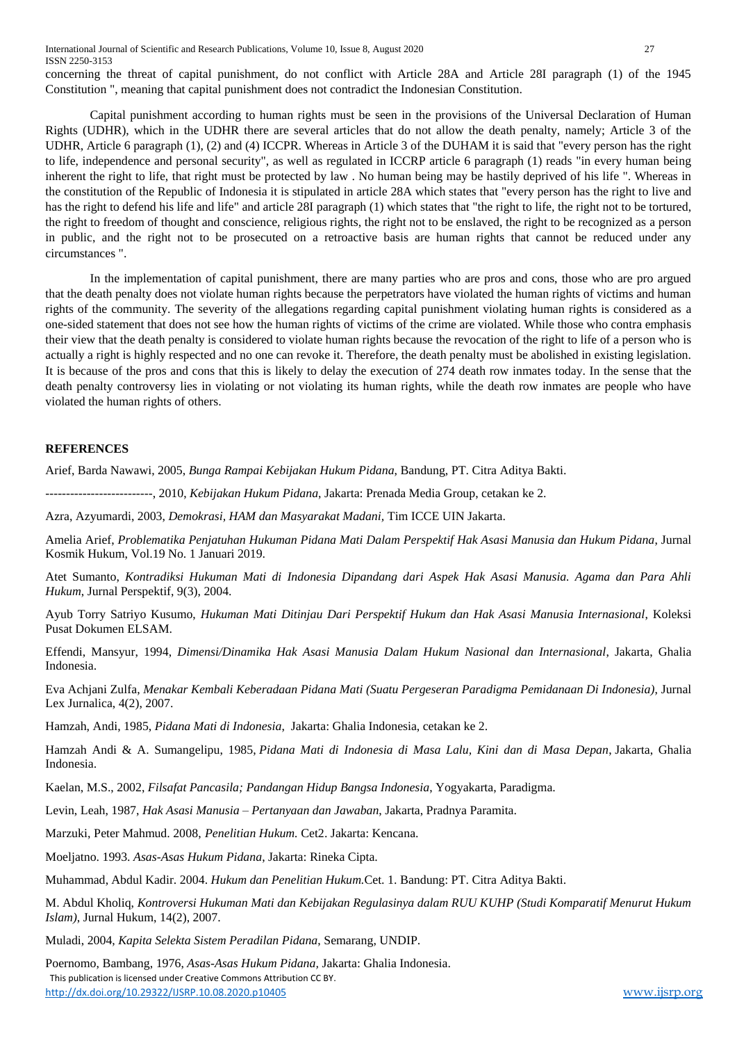International Journal of Scientific and Research Publications, Volume 10, Issue 8, August 2020 27 ISSN 2250-3153

concerning the threat of capital punishment, do not conflict with Article 28A and Article 28I paragraph (1) of the 1945 Constitution ", meaning that capital punishment does not contradict the Indonesian Constitution.

Capital punishment according to human rights must be seen in the provisions of the Universal Declaration of Human Rights (UDHR), which in the UDHR there are several articles that do not allow the death penalty, namely; Article 3 of the UDHR, Article 6 paragraph (1), (2) and (4) ICCPR. Whereas in Article 3 of the DUHAM it is said that "every person has the right to life, independence and personal security", as well as regulated in ICCRP article 6 paragraph (1) reads "in every human being inherent the right to life, that right must be protected by law . No human being may be hastily deprived of his life ". Whereas in the constitution of the Republic of Indonesia it is stipulated in article 28A which states that "every person has the right to live and has the right to defend his life and life" and article 28I paragraph (1) which states that "the right to life, the right not to be tortured, the right to freedom of thought and conscience, religious rights, the right not to be enslaved, the right to be recognized as a person in public, and the right not to be prosecuted on a retroactive basis are human rights that cannot be reduced under any circumstances ".

In the implementation of capital punishment, there are many parties who are pros and cons, those who are pro argued that the death penalty does not violate human rights because the perpetrators have violated the human rights of victims and human rights of the community. The severity of the allegations regarding capital punishment violating human rights is considered as a one-sided statement that does not see how the human rights of victims of the crime are violated. While those who contra emphasis their view that the death penalty is considered to violate human rights because the revocation of the right to life of a person who is actually a right is highly respected and no one can revoke it. Therefore, the death penalty must be abolished in existing legislation. It is because of the pros and cons that this is likely to delay the execution of 274 death row inmates today. In the sense that the death penalty controversy lies in violating or not violating its human rights, while the death row inmates are people who have violated the human rights of others.

#### **REFERENCES**

Arief, Barda Nawawi, 2005, *Bunga Rampai Kebijakan Hukum Pidana*, Bandung, PT. Citra Aditya Bakti.

--------------------------, 2010, *Kebijakan Hukum Pidana*, Jakarta: Prenada Media Group, cetakan ke 2.

Azra, Azyumardi, 2003, *Demokrasi, HAM dan Masyarakat Madani,* Tim ICCE UIN Jakarta.

Amelia Arief, *Problematika Penjatuhan Hukuman Pidana Mati Dalam Perspektif Hak Asasi Manusia dan Hukum Pidana*, Jurnal Kosmik Hukum, Vol.19 No. 1 Januari 2019.

Atet Sumanto, *Kontradiksi Hukuman Mati di Indonesia Dipandang dari Aspek Hak Asasi Manusia. Agama dan Para Ahli Hukum*, Jurnal Perspektif, 9(3), 2004.

Ayub Torry Satriyo Kusumo, *Hukuman Mati Ditinjau Dari Perspektif Hukum dan Hak Asasi Manusia Internasional*, Koleksi Pusat Dokumen ELSAM.

Effendi, Mansyur, 1994, *Dimensi/Dinamika Hak Asasi Manusia Dalam Hukum Nasional dan Internasional*, Jakarta, Ghalia Indonesia.

Eva Achjani Zulfa, *Menakar Kembali Keberadaan Pidana Mati (Suatu Pergeseran Paradigma Pemidanaan Di Indonesia)*, Jurnal Lex Jurnalica, 4(2), 2007.

Hamzah, Andi, 1985, *Pidana Mati di Indonesia*, Jakarta: Ghalia Indonesia, cetakan ke 2.

Hamzah Andi & A. Sumangelipu, 1985, *Pidana Mati di Indonesia di Masa Lalu, Kini dan di Masa Depan*, Jakarta, Ghalia Indonesia.

Kaelan, M.S., 2002, *Filsafat Pancasila; Pandangan Hidup Bangsa Indonesia*, Yogyakarta, Paradigma.

Levin, Leah, 1987, *Hak Asasi Manusia – Pertanyaan dan Jawaban*, Jakarta, Pradnya Paramita.

Marzuki, Peter Mahmud. 2008, *Penelitian Hukum.* Cet2. Jakarta: Kencana.

Moeljatno. 1993. *Asas-Asas Hukum Pidana*, Jakarta: Rineka Cipta.

Muhammad, Abdul Kadir. 2004. *Hukum dan Penelitian Hukum.*Cet. 1. Bandung: PT. Citra Aditya Bakti.

M. Abdul Kholiq, *Kontroversi Hukuman Mati dan Kebijakan Regulasinya dalam RUU KUHP (Studi Komparatif Menurut Hukum Islam)*, Jurnal Hukum, 14(2), 2007.

Muladi, 2004, *Kapita Selekta Sistem Peradilan Pidana*, Semarang, UNDIP.

 This publication is licensed under Creative Commons Attribution CC BY. <http://dx.doi.org/10.29322/IJSRP.10.08.2020.p10405> [www.ijsrp.org](http://ijsrp.org/) Poernomo, Bambang, 1976, *Asas-Asas Hukum Pidana,* Jakarta: Ghalia Indonesia.